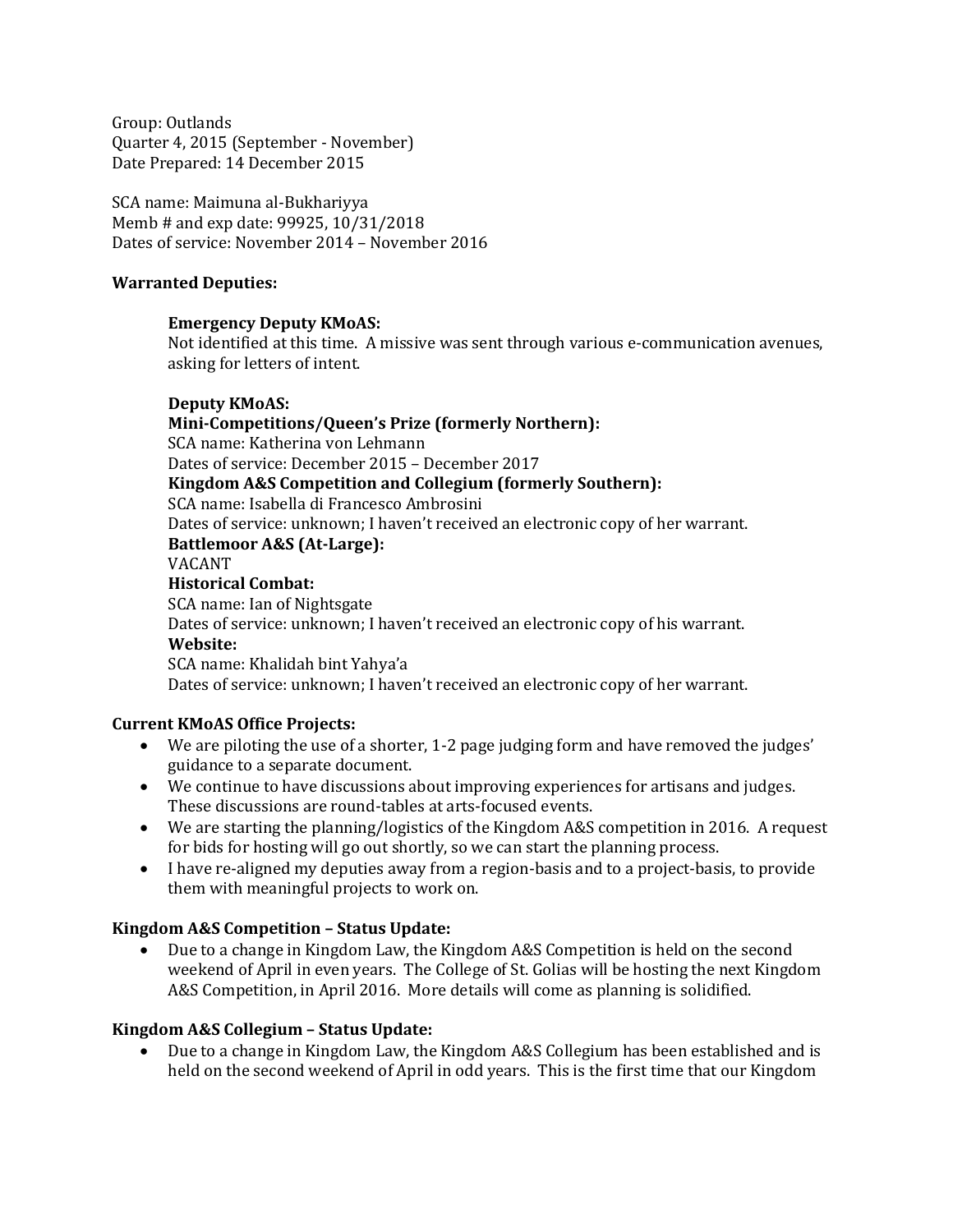Group: Outlands Quarter 4, 2015 (September - November) Date Prepared: 14 December 2015

SCA name: Maimuna al-Bukhariyya Memb # and exp date: 99925, 10/31/2018 Dates of service: November 2014 – November 2016

#### **Warranted Deputies:**

#### **Emergency Deputy KMoAS:**

Not identified at this time. A missive was sent through various e-communication avenues, asking for letters of intent.

#### **Deputy KMoAS:**

#### **Mini-Competitions/Queen's Prize (formerly Northern):**

SCA name: Katherina von Lehmann

Dates of service: December 2015 – December 2017

# **Kingdom A&S Competition and Collegium (formerly Southern):**

#### SCA name: Isabella di Francesco Ambrosini

Dates of service: unknown; I haven't received an electronic copy of her warrant.

# **Battlemoor A&S (At-Large):**

# VACANT

#### **Historical Combat:**

SCA name: Ian of Nightsgate Dates of service: unknown; I haven't received an electronic copy of his warrant. **Website:** SCA name: Khalidah bint Yahya'a

Dates of service: unknown; I haven't received an electronic copy of her warrant.

# **Current KMoAS Office Projects:**

- We are piloting the use of a shorter, 1-2 page judging form and have removed the judges' guidance to a separate document.
- We continue to have discussions about improving experiences for artisans and judges. These discussions are round-tables at arts-focused events.
- We are starting the planning/logistics of the Kingdom A&S competition in 2016. A request for bids for hosting will go out shortly, so we can start the planning process.
- I have re-aligned my deputies away from a region-basis and to a project-basis, to provide them with meaningful projects to work on.

# **Kingdom A&S Competition – Status Update:**

• Due to a change in Kingdom Law, the Kingdom A&S Competition is held on the second weekend of April in even years. The College of St. Golias will be hosting the next Kingdom A&S Competition, in April 2016. More details will come as planning is solidified.

# **Kingdom A&S Collegium – Status Update:**

• Due to a change in Kingdom Law, the Kingdom A&S Collegium has been established and is held on the second weekend of April in odd years. This is the first time that our Kingdom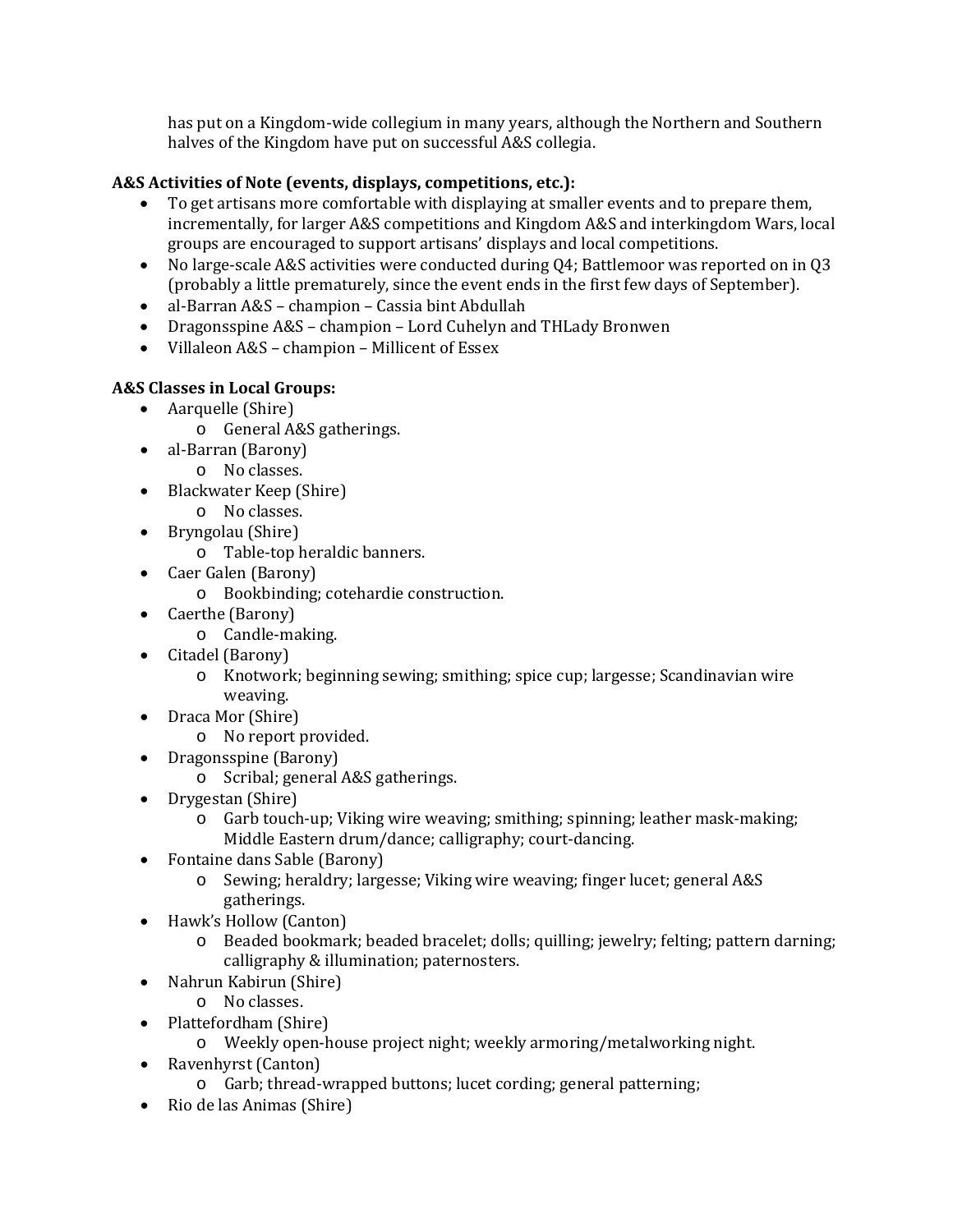has put on a Kingdom-wide collegium in many years, although the Northern and Southern halves of the Kingdom have put on successful A&S collegia.

# **A&S Activities of Note (events, displays, competitions, etc.):**

- To get artisans more comfortable with displaying at smaller events and to prepare them, incrementally, for larger A&S competitions and Kingdom A&S and interkingdom Wars, local groups are encouraged to support artisans' displays and local competitions.
- No large-scale A&S activities were conducted during Q4; Battlemoor was reported on in Q3 (probably a little prematurely, since the event ends in the first few days of September).
- al-Barran A&S champion Cassia bint Abdullah
- Dragonsspine A&S champion Lord Cuhelyn and THLady Bronwen
- Villaleon A&S champion Millicent of Essex

# **A&S Classes in Local Groups:**

- Aarquelle (Shire)
	- o General A&S gatherings.
- al-Barran (Barony)
	- o No classes.
- Blackwater Keep (Shire)
	- o No classes.
- Bryngolau (Shire)
	- o Table-top heraldic banners.
- Caer Galen (Barony)
	- o Bookbinding; cotehardie construction.
- Caerthe (Barony)
	- o Candle-making.
- Citadel (Barony)
	- o Knotwork; beginning sewing; smithing; spice cup; largesse; Scandinavian wire weaving.
- Draca Mor (Shire)
	- o No report provided.
- Dragonsspine (Barony)
	- o Scribal; general A&S gatherings.
- Drygestan (Shire)
	- o Garb touch-up; Viking wire weaving; smithing; spinning; leather mask-making; Middle Eastern drum/dance; calligraphy; court-dancing.
- Fontaine dans Sable (Barony)
	- o Sewing; heraldry; largesse; Viking wire weaving; finger lucet; general A&S gatherings.
- Hawk's Hollow (Canton)
	- o Beaded bookmark; beaded bracelet; dolls; quilling; jewelry; felting; pattern darning; calligraphy & illumination; paternosters.
- Nahrun Kabirun (Shire)
	- o No classes.
- Plattefordham (Shire)
	- o Weekly open-house project night; weekly armoring/metalworking night.
- Ravenhyrst (Canton)
	- o Garb; thread-wrapped buttons; lucet cording; general patterning;
- Rio de las Animas (Shire)